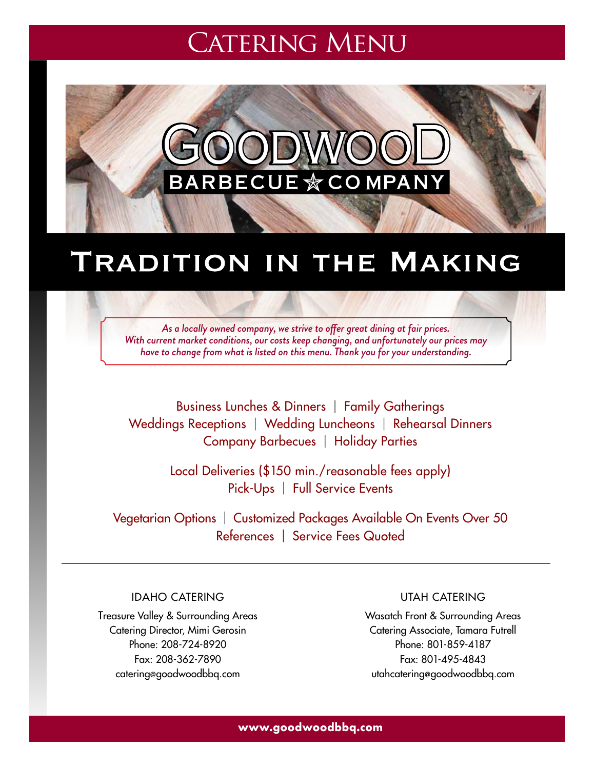# **CATERING MENU**



# TRADITION IN THE MAKING

*As a locally owned company, we strive to offer great dining at fair prices. With current market conditions, our costs keep changing, and unfortunately our prices may have to change from what is listed on this menu. Thank you for your understanding.*

Business Lunches & Dinners | Family Gatherings Weddings Receptions | Wedding Luncheons | Rehearsal Dinners Company Barbecues | Holiday Parties

> Local Deliveries (\$150 min./reasonable fees apply) Pick-Ups | Full Service Events

Vegetarian Options | Customized Packages Available On Events Over 50 References | Service Fees Quoted

Idaho Catering

Treasure Valley & Surrounding Areas Catering Director, Mimi Gerosin Phone: 208-724-8920 Fax: 208-362-7890 catering@goodwoodbbq.com

Utah Catering

Wasatch Front & Surrounding Areas Catering Associate, Tamara Futrell Phone: 801-859-4187 Fax: 801-495-4843 utahcatering@goodwoodbbq.com

**www.goodwoodbbq.com**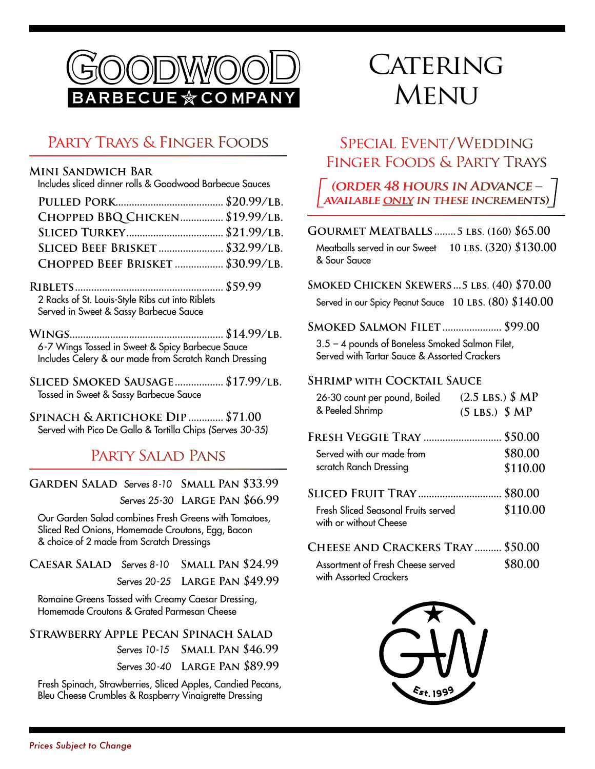

## Party Trays & Finger Foods

#### **Mini Sandwich Bar**

Includes sliced dinner rolls & Goodwood Barbecue Sauces

| CHOPPED BBQ CHICKEN \$19.99/LB.   |  |
|-----------------------------------|--|
|                                   |  |
| SLICED BEEF BRISKET  \$32.99/LB.  |  |
| CHOPPED BEEF BRISKET  \$30.99/LB. |  |

**Riblets....................................................... \$59.99** 2 Racks of St. Louis-Style Ribs cut into Riblets Served in Sweet & Sassy Barbecue Sauce

- **Wings......................................................... \$14.99/lb.** 6-7 Wings Tossed in Sweet & Spicy Barbecue Sauce Includes Celery & our made from Scratch Ranch Dressing
- **Sliced Smoked Sausage.................. \$17.99/lb.** Tossed in Sweet & Sassy Barbecue Sauce

**Spinach & Artichoke Dip............. \$71.00** Served with Pico De Gallo & Tortilla Chips (Serves 30-35)

## PARTY SALAD PANS

#### **Garden Salad** Serves 8-10 **Small Pan \$33.99** Serves 25-30 **Large Pan \$66.99**

Our Garden Salad combines Fresh Greens with Tomatoes, Sliced Red Onions, Homemade Croutons, Egg, Bacon & choice of 2 made from Scratch Dressings

**Caesar Salad** Serves 8-10 **Small Pan \$24.99**  Serves 20-25 **Large Pan \$49.99**

Romaine Greens Tossed with Creamy Caesar Dressing, Homemade Croutons & Grated Parmesan Cheese

#### **Strawberry Apple Pecan Spinach Salad**

Serves 10-15 **Small Pan \$46.99**  Serves 30-40 **Large Pan \$89.99**

Fresh Spinach, Strawberries, Sliced Apples, Candied Pecans, Bleu Cheese Crumbles & Raspberry Vinaigrette Dressing

# CATERING **MENU**

## Special Event/Wedding Finger Foods & Party Trays

**(order 48 hours in Advance – available only in these increments)** 

**Gourmet Meatballs........5 lbs. (160) \$65.00** Meatballs served in our Sweet **10 lbs. (320) \$130.00** & Sour Sauce

#### **Smoked Chicken Skewers...5 lbs. (40) \$70.00**

Served in our Spicy Peanut Sauce 10 LBS. (80) \$140.00

#### **Smoked Salmon Filet...................... \$99.00**

3.5 – 4 pounds of Boneless Smoked Salmon Filet, Served with Tartar Sauce & Assorted Crackers

#### **Shrimp with Cocktail Sauce**

| 26-30 count per pound, Boiled | $(2.5 \text{ LBS.})$ \$ MP |
|-------------------------------|----------------------------|
| & Peeled Shrimp               | $(5$ LBS.) $$MP$           |

| <b>FRESH VEGGIE TRAY  \$50.00</b>                             |          |
|---------------------------------------------------------------|----------|
| Served with our made from                                     | \$80.00  |
| scratch Ranch Dressing                                        | \$110.00 |
| <b>SLICED FRUIT TRAY  \$80.00</b>                             |          |
| Fresh Sliced Seasonal Fruits served<br>with or without Cheese | \$110.00 |
|                                                               |          |

| Cheese and Crackers Tray  \$50.00 |         |
|-----------------------------------|---------|
| Assortment of Fresh Cheese served | \$80.00 |
| with Assorted Crackers            |         |

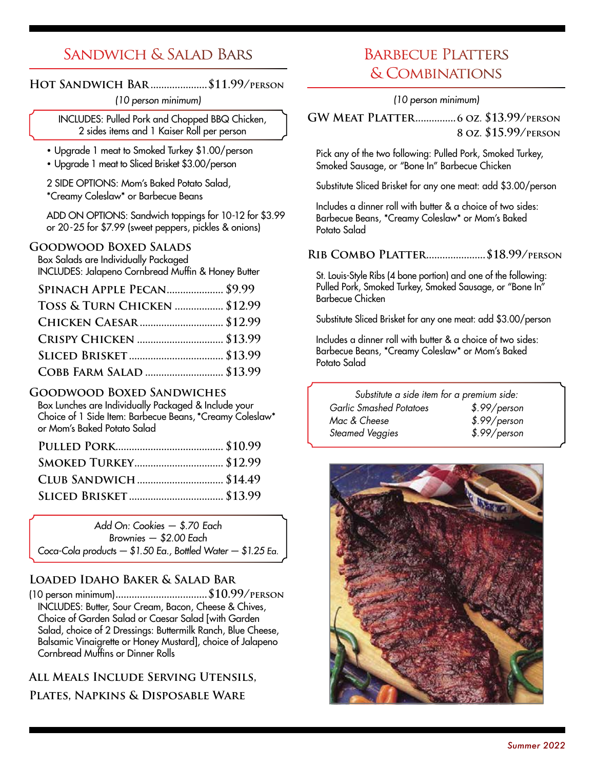## Sandwich & Salad Bars

### **Hot Sandwich Bar.....................\$11.99/person**

(10 person minimum)

Includes: Pulled Pork and Chopped BBQ Chicken, 2 sides items and 1 Kaiser Roll per person

- Upgrade 1 meat to Smoked Turkey \$1.00/person
- Upgrade 1 meat to Sliced Brisket \$3.00/person

2 SIDE OPTIONS: Mom's Baked Potato Salad, \*Creamy Coleslaw\* or Barbecue Beans

ADD ON OPTIONS: Sandwich toppings for 10-12 for \$3.99 or 20-25 for \$7.99 (sweet peppers, pickles & onions)

#### **Goodwood Boxed Salads**

Box Salads are Individually Packaged Includes: Jalapeno Cornbread Muffin & Honey Butter

| <b>SPINACH APPLE PECAN \$9.99</b> |  |
|-----------------------------------|--|
| TOSS & TURN CHICKEN  \$12.99      |  |
|                                   |  |
| CRISPY CHICKEN  \$13.99           |  |
|                                   |  |
| COBB FARM SALAD  \$13.99          |  |

### **Goodwood Boxed Sandwiches**

Box Lunches are Individually Packaged & Include your Choice of 1 Side Item: Barbecue Beans, \*Creamy Coleslaw\* or Mom's Baked Potato Salad

| <b>SMOKED TURKEY \$12.99</b> |  |
|------------------------------|--|
|                              |  |
|                              |  |
|                              |  |

Add On: Cookies — \$.70 Each Brownies — \$2.00 Each Coca-Cola products — \$1.50 Ea., Bottled Water — \$1.25 Ea.

## **Loaded Idaho Baker & Salad Bar**

(10 person minimum)**..................................\$10.99/person** Includes: Butter, Sour Cream, Bacon, Cheese & Chives, Choice of Garden Salad or Caesar Salad [with Garden Salad, choice of 2 Dressings: Buttermilk Ranch, Blue Cheese, Balsamic Vinaigrette or Honey Mustard], choice of Jalapeno Cornbread Muffins or Dinner Rolls

**All Meals Include Serving Utensils,** 

**Plates, Napkins & Disposable Ware**

## BARBECUE PLATTERS & Combinations

(10 person minimum)

**GW Meat Platter...............6 oz. \$13.99/person 8 oz. \$15.99/person**

Pick any of the two following: Pulled Pork, Smoked Turkey, Smoked Sausage, or "Bone In" Barbecue Chicken

Substitute Sliced Brisket for any one meat: add \$3.00/person

Includes a dinner roll with butter & a choice of two sides: Barbecue Beans, \*Creamy Coleslaw\* or Mom's Baked Potato Salad

### **Rib Combo Platter......................\$18.99/person**

St. Louis-Style Ribs (4 bone portion) and one of the following: Pulled Pork, Smoked Turkey, Smoked Sausage, or "Bone In" Barbecue Chicken

Substitute Sliced Brisket for any one meat: add \$3.00/person

Includes a dinner roll with butter & a choice of two sides: Barbecue Beans, \*Creamy Coleslaw\* or Mom's Baked Potato Salad

| Substitute a side item for a premium side: |              |
|--------------------------------------------|--------------|
| <b>Garlic Smashed Potatoes</b>             | \$.99/person |
| Mac & Cheese                               | \$.99/person |
| Steamed Veggies                            | \$.99/person |